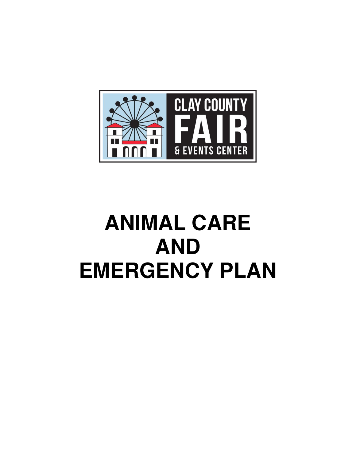

# **ANIMAL CARE AND EMERGENCY PLAN**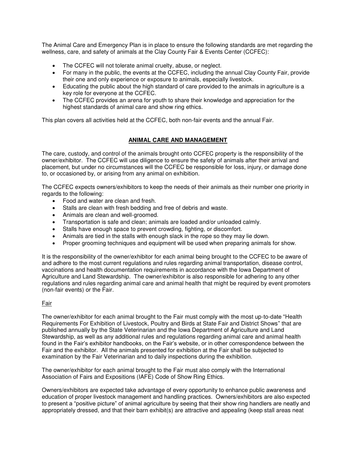The Animal Care and Emergency Plan is in place to ensure the following standards are met regarding the wellness, care, and safety of animals at the Clay County Fair & Events Center (CCFEC):

- The CCFEC will not tolerate animal cruelty, abuse, or neglect.
- For many in the public, the events at the CCFEC, including the annual Clay County Fair, provide their one and only experience or exposure to animals, especially livestock.
- Educating the public about the high standard of care provided to the animals in agriculture is a key role for everyone at the CCFEC.
- The CCFEC provides an arena for youth to share their knowledge and appreciation for the highest standards of animal care and show ring ethics.

This plan covers all activities held at the CCFEC, both non-fair events and the annual Fair.

# **ANIMAL CARE AND MANAGEMENT**

The care, custody, and control of the animals brought onto CCFEC property is the responsibility of the owner/exhibitor. The CCFEC will use diligence to ensure the safety of animals after their arrival and placement, but under no circumstances will the CCFEC be responsible for loss, injury, or damage done to, or occasioned by, or arising from any animal on exhibition.

The CCFEC expects owners/exhibitors to keep the needs of their animals as their number one priority in regards to the following:

- Food and water are clean and fresh.
- Stalls are clean with fresh bedding and free of debris and waste.
- Animals are clean and well-groomed.
- Transportation is safe and clean; animals are loaded and/or unloaded calmly.
- Stalls have enough space to prevent crowding, fighting, or discomfort.
- Animals are tied in the stalls with enough slack in the rope so they may lie down.
- Proper grooming techniques and equipment will be used when preparing animals for show.

It is the responsibility of the owner/exhibitor for each animal being brought to the CCFEC to be aware of and adhere to the most current regulations and rules regarding animal transportation, disease control, vaccinations and health documentation requirements in accordance with the Iowa Department of Agriculture and Land Stewardship. The owner/exhibitor is also responsible for adhering to any other regulations and rules regarding animal care and animal health that might be required by event promoters (non-fair events) or the Fair.

# Fair

The owner/exhibitor for each animal brought to the Fair must comply with the most up-to-date "[Health](https://iowaagriculture.gov/sites/default/files/department-forms/2019%20Iowa%20HEALTH%20REQUIREMENTS%20FOR%20THE%20EXHIBITION%20OF%20LIVESTOCK.pdf)  [Requirements For Exhibition of Livestock, Poultry and Birds at State Fair and District Shows](https://iowaagriculture.gov/sites/default/files/department-forms/2019%20Iowa%20HEALTH%20REQUIREMENTS%20FOR%20THE%20EXHIBITION%20OF%20LIVESTOCK.pdf)" that are published annually by the State Veterinarian and the Iowa Department of Agriculture and Land Stewardship, as well as any additional rules and regulations regarding animal care and animal health found in the Fair's exhibitor handbooks, on the Fair's website, or in other correspondence between the Fair and the exhibitor. All the animals presented for exhibition at the Fair shall be subjected to examination by the Fair Veterinarian and to daily inspections during the exhibition.

The owner/exhibitor for each animal brought to the Fair must also comply with the International Association of Fairs and Expositions (IAFE) Code of Show Ring Ethics.

Owners/exhibitors are expected take advantage of every opportunity to enhance public awareness and education of proper livestock management and handling practices. Owners/exhibitors are also expected to present a "positive picture" of animal agriculture by seeing that their show ring handlers are neatly and appropriately dressed, and that their barn exhibit(s) are attractive and appealing (keep stall areas neat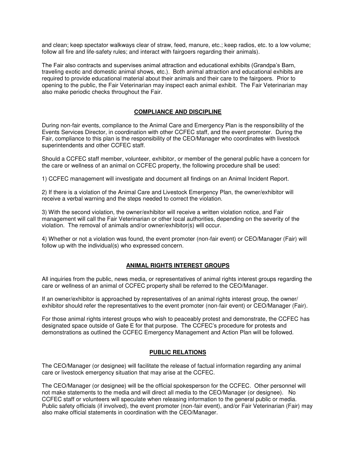and clean; keep spectator walkways clear of straw, feed, manure, etc.; keep radios, etc. to a low volume; follow all fire and life-safety rules; and interact with fairgoers regarding their animals).

The Fair also contracts and supervises animal attraction and educational exhibits (Grandpa's Barn, traveling exotic and domestic animal shows, etc.). Both animal attraction and educational exhibits are required to provide educational material about their animals and their care to the fairgoers. Prior to opening to the public, the Fair Veterinarian may inspect each animal exhibit. The Fair Veterinarian may also make periodic checks throughout the Fair.

# **COMPLIANCE AND DISCIPLINE**

During non-fair events, compliance to the Animal Care and Emergency Plan is the responsibility of the Events Services Director, in coordination with other CCFEC staff, and the event promoter. During the Fair, compliance to this plan is the responsibility of the CEO/Manager who coordinates with livestock superintendents and other CCFEC staff.

Should a CCFEC staff member, volunteer, exhibitor, or member of the general public have a concern for the care or wellness of an animal on CCFEC property, the following procedure shall be used:

1) CCFEC management will investigate and document all findings on an Animal Incident Report.

2) If there is a violation of the Animal Care and Livestock Emergency Plan, the owner/exhibitor will receive a verbal warning and the steps needed to correct the violation.

3) With the second violation, the owner/exhibitor will receive a written violation notice, and Fair management will call the Fair Veterinarian or other local authorities, depending on the severity of the violation. The removal of animals and/or owner/exhibitor(s) will occur.

4) Whether or not a violation was found, the event promoter (non-fair event) or CEO/Manager (Fair) will follow up with the individual(s) who expressed concern.

#### **ANIMAL RIGHTS INTEREST GROUPS**

All inquiries from the public, news media, or representatives of animal rights interest groups regarding the care or wellness of an animal of CCFEC property shall be referred to the CEO/Manager.

If an owner/exhibitor is approached by representatives of an animal rights interest group, the owner/ exhibitor should refer the representatives to the event promoter (non-fair event) or CEO/Manager (Fair).

For those animal rights interest groups who wish to peaceably protest and demonstrate, the CCFEC has designated space outside of Gate E for that purpose. The CCFEC's procedure for protests and demonstrations as outlined the CCFEC Emergency Management and Action Plan will be followed.

#### **PUBLIC RELATIONS**

The CEO/Manager (or designee) will facilitate the release of factual information regarding any animal care or livestock emergency situation that may arise at the CCFEC.

The CEO/Manager (or designee) will be the official spokesperson for the CCFEC. Other personnel will not make statements to the media and will direct all media to the CEO/Manager (or designee). No CCFEC staff or volunteers will speculate when releasing information to the general public or media. Public safety officials (if involved), the event promoter (non-fair event), and/or Fair Veterinarian (Fair) may also make official statements in coordination with the CEO/Manager.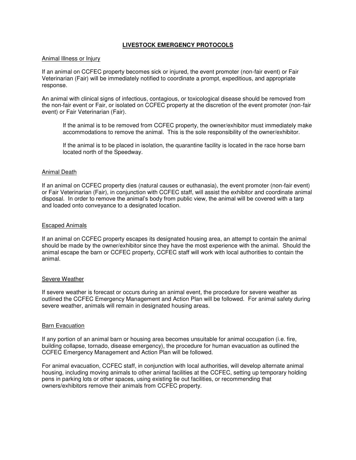# **LIVESTOCK EMERGENCY PROTOCOLS**

#### Animal Illness or Injury

If an animal on CCFEC property becomes sick or injured, the event promoter (non-fair event) or Fair Veterinarian (Fair) will be immediately notified to coordinate a prompt, expeditious, and appropriate response.

An animal with clinical signs of infectious, contagious, or toxicological disease should be removed from the non-fair event or Fair, or isolated on CCFEC property at the discretion of the event promoter (non-fair event) or Fair Veterinarian (Fair).

If the animal is to be removed from CCFEC property, the owner/exhibitor must immediately make accommodations to remove the animal. This is the sole responsibility of the owner/exhibitor.

If the animal is to be placed in isolation, the quarantine facility is located in the race horse barn located north of the Speedway.

#### Animal Death

If an animal on CCFEC property dies (natural causes or euthanasia), the event promoter (non-fair event) or Fair Veterinarian (Fair), in conjunction with CCFEC staff, will assist the exhibitor and coordinate animal disposal. In order to remove the animal's body from public view, the animal will be covered with a tarp and loaded onto conveyance to a designated location.

#### Escaped Animals

If an animal on CCFEC property escapes its designated housing area, an attempt to contain the animal should be made by the owner/exhibitor since they have the most experience with the animal. Should the animal escape the barn or CCFEC property, CCFEC staff will work with local authorities to contain the animal.

#### Severe Weather

If severe weather is forecast or occurs during an animal event, the procedure for severe weather as outlined the CCFEC Emergency Management and Action Plan will be followed. For animal safety during severe weather, animals will remain in designated housing areas.

#### Barn Evacuation

If any portion of an animal barn or housing area becomes unsuitable for animal occupation (i.e. fire, building collapse, tornado, disease emergency), the procedure for human evacuation as outlined the CCFEC Emergency Management and Action Plan will be followed.

For animal evacuation, CCFEC staff, in conjunction with local authorities, will develop alternate animal housing, including moving animals to other animal facilities at the CCFEC, setting up temporary holding pens in parking lots or other spaces, using existing tie out facilities, or recommending that owners/exhibitors remove their animals from CCFEC property.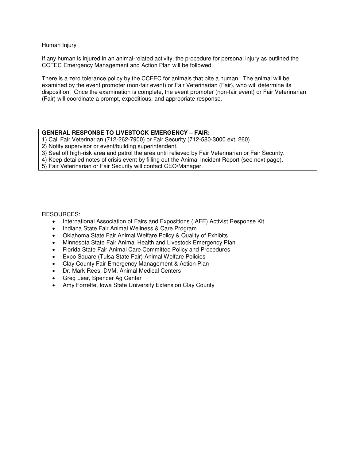### Human Injury

If any human is injured in an animal-related activity, the procedure for personal injury as outlined the CCFEC Emergency Management and Action Plan will be followed.

There is a zero tolerance policy by the CCFEC for animals that bite a human. The animal will be examined by the event promoter (non-fair event) or Fair Veterinarian (Fair), who will determine its disposition. Once the examination is complete, the event promoter (non-fair event) or Fair Veterinarian (Fair) will coordinate a prompt, expeditious, and appropriate response.

# **GENERAL RESPONSE TO LIVESTOCK EMERGENCY – FAIR:**

1) Call Fair Veterinarian (712-262-7900) or Fair Security (712-580-3000 ext. 260).

2) Notify supervisor or event/building superintendent.

3) Seal off high-risk area and patrol the area until relieved by Fair Veterinarian or Fair Security.

4) Keep detailed notes of crisis event by filling out the Animal Incident Report (see next page).

5) Fair Veterinarian or Fair Security will contact CEO/Manager.

# RESOURCES:

- International Association of Fairs and Expositions (IAFE) Activist Response Kit
- Indiana State Fair Animal Wellness & Care Program
- Oklahoma State Fair Animal Welfare Policy & Quality of Exhibits
- Minnesota State Fair Animal Health and Livestock Emergency Plan
- Florida State Fair Animal Care Committee Policy and Procedures
- Expo Square (Tulsa State Fair) Animal Welfare Policies
- Clay County Fair Emergency Management & Action Plan
- Dr. Mark Rees, DVM, Animal Medical Centers
- Greg Lear, Spencer Ag Center
- Amy Forrette, Iowa State University Extension Clay County